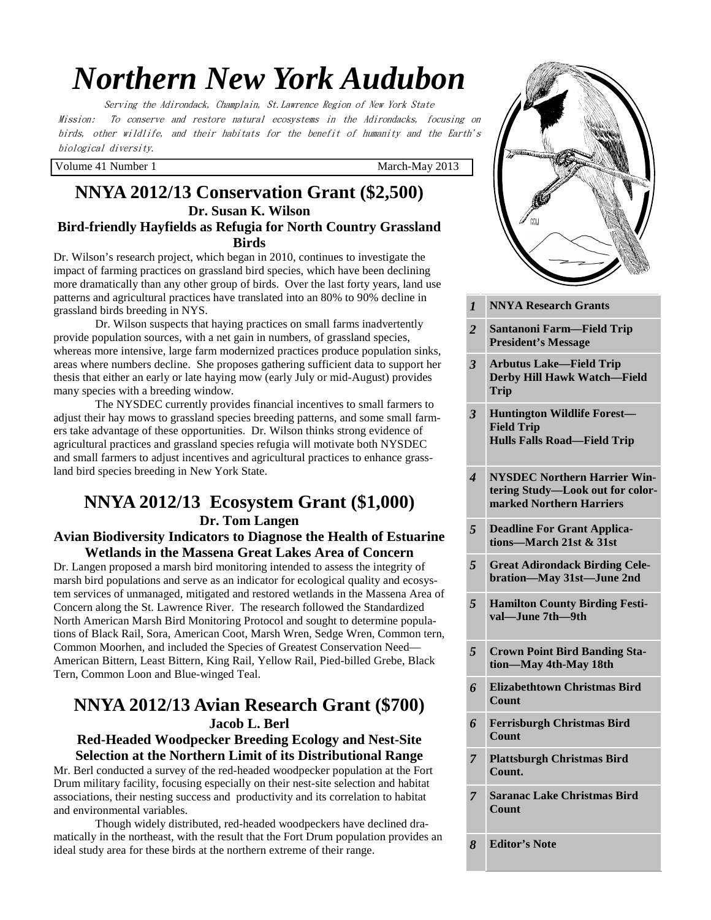# *Northern New York Audubon*

Serving the Adirondack, Champlain, St.Lawrence Region of New York State Mission: To conserve and restore natural ecosystems in the Adirondacks, focusing on birds, other wildlife, and their habitats for the benefit of humanity and the Earth's biological diversity.

Volume 41 Number 1 March-May 2013

#### **NNYA 2012/13 Conservation Grant (\$2,500) Dr. Susan K. Wilson Bird-friendly Hayfields as Refugia for North Country Grassland Birds**

Dr. Wilson's research project, which began in 2010, continues to investigate the impact of farming practices on grassland bird species, which have been declining more dramatically than any other group of birds. Over the last forty years, land use patterns and agricultural practices have translated into an 80% to 90% decline in grassland birds breeding in NYS.

 Dr. Wilson suspects that haying practices on small farms inadvertently provide population sources, with a net gain in numbers, of grassland species, whereas more intensive, large farm modernized practices produce population sinks, areas where numbers decline. She proposes gathering sufficient data to support her thesis that either an early or late haying mow (early July or mid-August) provides many species with a breeding window.

 The NYSDEC currently provides financial incentives to small farmers to adjust their hay mows to grassland species breeding patterns, and some small farmers take advantage of these opportunities. Dr. Wilson thinks strong evidence of agricultural practices and grassland species refugia will motivate both NYSDEC and small farmers to adjust incentives and agricultural practices to enhance grassland bird species breeding in New York State.

# **NNYA 2012/13 Ecosystem Grant (\$1,000) Dr. Tom Langen**

#### **Avian Biodiversity Indicators to Diagnose the Health of Estuarine Wetlands in the Massena Great Lakes Area of Concern**

Dr. Langen proposed a marsh bird monitoring intended to assess the integrity of marsh bird populations and serve as an indicator for ecological quality and ecosystem services of unmanaged, mitigated and restored wetlands in the Massena Area of Concern along the St. Lawrence River. The research followed the Standardized North American Marsh Bird Monitoring Protocol and sought to determine populations of Black Rail, Sora, American Coot, Marsh Wren, Sedge Wren, Common tern, Common Moorhen, and included the Species of Greatest Conservation Need— American Bittern, Least Bittern, King Rail, Yellow Rail, Pied-billed Grebe, Black Tern, Common Loon and Blue-winged Teal.

# **NNYA 2012/13 Avian Research Grant (\$700) Jacob L. Berl**

#### **Red-Headed Woodpecker Breeding Ecology and Nest-Site Selection at the Northern Limit of its Distributional Range**

Mr. Berl conducted a survey of the red-headed woodpecker population at the Fort Drum military facility, focusing especially on their nest-site selection and habitat associations, their nesting success and productivity and its correlation to habitat and environmental variables.

 Though widely distributed, red-headed woodpeckers have declined dramatically in the northeast, with the result that the Fort Drum population provides an ideal study area for these birds at the northern extreme of their range.



| $\boldsymbol{l}$        | <b>NNYA Research Grants</b>                                                                         |
|-------------------------|-----------------------------------------------------------------------------------------------------|
| $\overline{2}$          | <b>Santanoni Farm—Field Trip</b><br><b>President's Message</b>                                      |
| $\overline{\mathbf{3}}$ | <b>Arbutus Lake-Field Trip</b><br><b>Derby Hill Hawk Watch-Field</b><br>Trip                        |
| 3                       | <b>Huntington Wildlife Forest-</b><br><b>Field Trip</b><br><b>Hulls Falls Road-Field Trip</b>       |
| 4                       | <b>NYSDEC Northern Harrier Win-</b><br>tering Study-Look out for color-<br>marked Northern Harriers |
| 5                       | <b>Deadline For Grant Applica-</b><br>tions-March 21st & 31st                                       |
| 5                       | <b>Great Adirondack Birding Cele-</b><br>bration-May 31st-June 2nd                                  |
| 5                       | <b>Hamilton County Birding Festi-</b><br>val—June 7th—9th                                           |
| 5                       | <b>Crown Point Bird Banding Sta-</b><br>tion-May 4th-May 18th                                       |
| 6                       | <b>Elizabethtown Christmas Bird</b><br>Count                                                        |
| 6                       | <b>Ferrisburgh Christmas Bird</b><br><b>Count</b>                                                   |
| 7                       | <b>Plattsburgh Christmas Bird</b><br>Count.                                                         |
| $\overline{7}$          | <b>Saranac Lake Christmas Bird</b><br>Count                                                         |
| 8                       | <b>Editor's Note</b>                                                                                |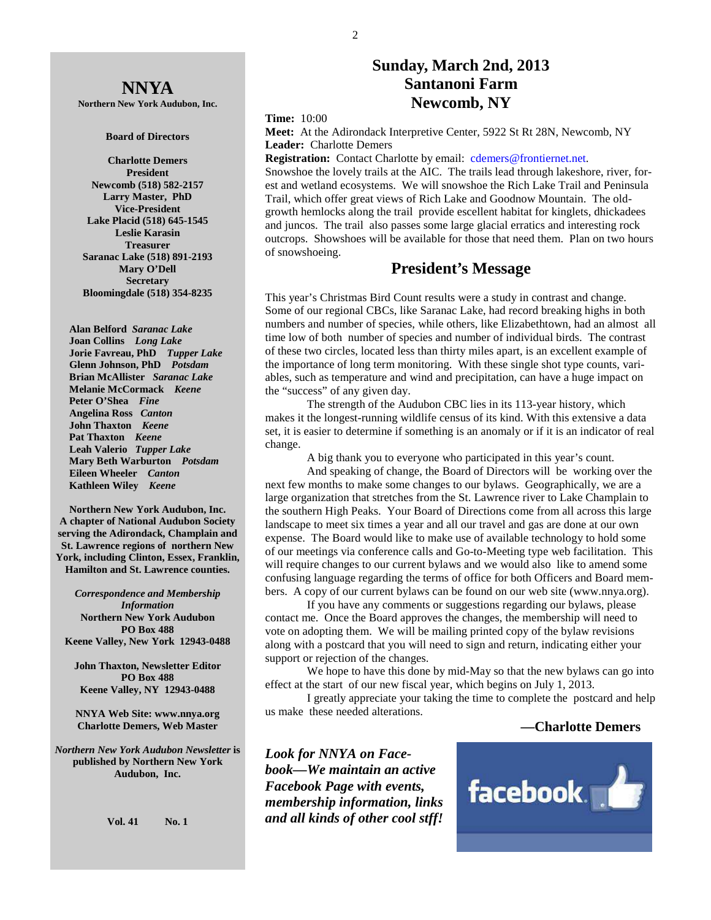# **Sunday, March 2nd, 2013 Santanoni Farm Newcomb, NY**

**Time:** 10:00

**Meet:** At the Adirondack Interpretive Center, 5922 St Rt 28N, Newcomb, NY **Leader:** Charlotte Demers

**Registration:** Contact Charlotte by email: cdemers@frontiernet.net.

Snowshoe the lovely trails at the AIC. The trails lead through lakeshore, river, forest and wetland ecosystems. We will snowshoe the Rich Lake Trail and Peninsula Trail, which offer great views of Rich Lake and Goodnow Mountain. The oldgrowth hemlocks along the trail provide escellent habitat for kinglets, dhickadees and juncos. The trail also passes some large glacial erratics and interesting rock outcrops. Showshoes will be available for those that need them. Plan on two hours of snowshoeing.

#### **President's Message**

This year's Christmas Bird Count results were a study in contrast and change. Some of our regional CBCs, like Saranac Lake, had record breaking highs in both numbers and number of species, while others, like Elizabethtown, had an almost all time low of both number of species and number of individual birds. The contrast of these two circles, located less than thirty miles apart, is an excellent example of the importance of long term monitoring. With these single shot type counts, variables, such as temperature and wind and precipitation, can have a huge impact on the "success" of any given day.

 The strength of the Audubon CBC lies in its 113-year history, which makes it the longest-running wildlife census of its kind. With this extensive a data set, it is easier to determine if something is an anomaly or if it is an indicator of real change.

A big thank you to everyone who participated in this year's count.

 And speaking of change, the Board of Directors will be working over the next few months to make some changes to our bylaws. Geographically, we are a large organization that stretches from the St. Lawrence river to Lake Champlain to the southern High Peaks. Your Board of Directions come from all across this large landscape to meet six times a year and all our travel and gas are done at our own expense. The Board would like to make use of available technology to hold some of our meetings via conference calls and Go-to-Meeting type web facilitation. This will require changes to our current bylaws and we would also like to amend some confusing language regarding the terms of office for both Officers and Board members. A copy of our current bylaws can be found on our web site (www.nnya.org).

 If you have any comments or suggestions regarding our bylaws, please contact me. Once the Board approves the changes, the membership will need to vote on adopting them. We will be mailing printed copy of the bylaw revisions along with a postcard that you will need to sign and return, indicating either your support or rejection of the changes.

We hope to have this done by mid-May so that the new bylaws can go into effect at the start of our new fiscal year, which begins on July 1, 2013.

 I greatly appreciate your taking the time to complete the postcard and help us make these needed alterations.

#### **—Charlotte Demers**

*Look for NNYA on Facebook—We maintain an active Facebook Page with events, membership information, links and all kinds of other cool stff!* 



**NNYA Northern New York Audubon, Inc.** 

#### **Board of Directors**

**Charlotte Demers President Newcomb (518) 582-2157 Larry Master, PhD Vice-President Lake Placid (518) 645-1545 Leslie Karasin Treasurer Saranac Lake (518) 891-2193 Mary O'Dell Secretary Bloomingdale (518) 354-8235** 

 **Alan Belford** *Saranac Lake*  **Joan Collins** *Long Lake*   **Jorie Favreau, PhD** *Tupper Lake*  **Glenn Johnson, PhD** *Potsdam*   **Brian McAllister** *Saranac Lake*   **Melanie McCormack** *Keene*   **Peter O'Shea** *Fine*   **Angelina Ross** *Canton* **John Thaxton** *Keene* **Pat Thaxton** *Keene* **Leah Valerio** *Tupper Lake*   **Mary Beth Warburton** *Potsdam*   **Eileen Wheeler** *Canton* **Kathleen Wiley** *Keene* 

**Northern New York Audubon, Inc. A chapter of National Audubon Society serving the Adirondack, Champlain and St. Lawrence regions of northern New York, including Clinton, Essex, Franklin, Hamilton and St. Lawrence counties.** 

*Correspondence and Membership Information* **Northern New York Audubon PO Box 488 Keene Valley, New York 12943-0488** 

**John Thaxton, Newsletter Editor PO Box 488 Keene Valley, NY 12943-0488** 

**NNYA Web Site: www.nnya.org Charlotte Demers, Web Master**

*Northern New York Audubon Newsletter* **is published by Northern New York Audubon, Inc.** 

**Vol. 41 No. 1**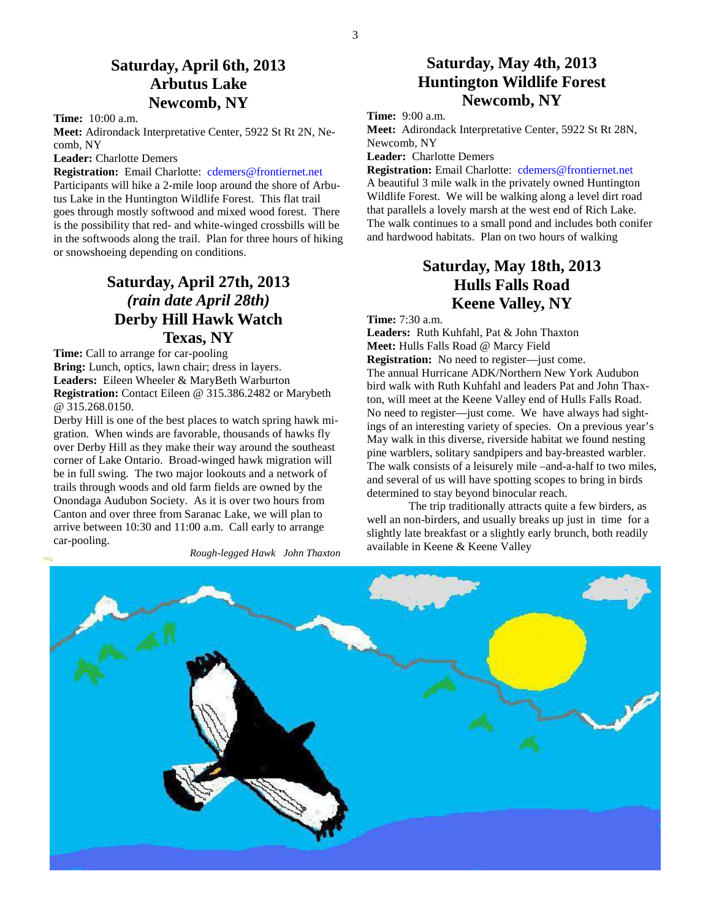# **Saturday, April 6th, 2013 Arbutus Lake Newcomb, NY**

**Time:** 10:00 a.m.

**Meet:** Adirondack Interpretative Center, 5922 St Rt 2N, Necomb, NY

**Leader:** Charlotte Demers

**Registration:** Email Charlotte: cdemers@frontiernet.net

Participants will hike a 2-mile loop around the shore of Arbutus Lake in the Huntington Wildlife Forest. This flat trail goes through mostly softwood and mixed wood forest. There is the possibility that red- and white-winged crossbills will be in the softwoods along the trail. Plan for three hours of hiking or snowshoeing depending on conditions.

# **Saturday, April 27th, 2013**  *(rain date April 28th)*  **Derby Hill Hawk Watch Texas, NY**

**Time:** Call to arrange for car-pooling **Bring:** Lunch, optics, lawn chair; dress in layers. **Leaders:** Eileen Wheeler & MaryBeth Warburton **Registration:** Contact Eileen @ 315.386.2482 or Marybeth @ 315.268.0150.

Derby Hill is one of the best places to watch spring hawk migration. When winds are favorable, thousands of hawks fly over Derby Hill as they make their way around the southeast corner of Lake Ontario. Broad-winged hawk migration will be in full swing. The two major lookouts and a network of trails through woods and old farm fields are owned by the Onondaga Audubon Society. As it is over two hours from Canton and over three from Saranac Lake, we will plan to arrive between 10:30 and 11:00 a.m. Call early to arrange car-pooling.

*Rough-legged Hawk John Thaxton*

# **Saturday, May 4th, 2013 Huntington Wildlife Forest Newcomb, NY**

**Time:** 9:00 a.m.

**Meet:** Adirondack Interpretative Center, 5922 St Rt 28N, Newcomb, NY

**Leader:** Charlotte Demers

**Registration:** Email Charlotte: cdemers@frontiernet.net

A beautiful 3 mile walk in the privately owned Huntington Wildlife Forest. We will be walking along a level dirt road that parallels a lovely marsh at the west end of Rich Lake. The walk continues to a small pond and includes both conifer and hardwood habitats. Plan on two hours of walking

# **Saturday, May 18th, 2013 Hulls Falls Road Keene Valley, NY**

**Time:** 7:30 a.m.

**Leaders:** Ruth Kuhfahl, Pat & John Thaxton **Meet:** Hulls Falls Road @ Marcy Field **Registration:** No need to register—just come. The annual Hurricane ADK/Northern New York Audubon bird walk with Ruth Kuhfahl and leaders Pat and John Thaxton, will meet at the Keene Valley end of Hulls Falls Road. No need to register—just come. We have always had sightings of an interesting variety of species. On a previous year's May walk in this diverse, riverside habitat we found nesting pine warblers, solitary sandpipers and bay-breasted warbler. The walk consists of a leisurely mile –and-a-half to two miles, and several of us will have spotting scopes to bring in birds determined to stay beyond binocular reach.

 The trip traditionally attracts quite a few birders, as well an non-birders, and usually breaks up just in time for a slightly late breakfast or a slightly early brunch, both readily available in Keene & Keene Valley

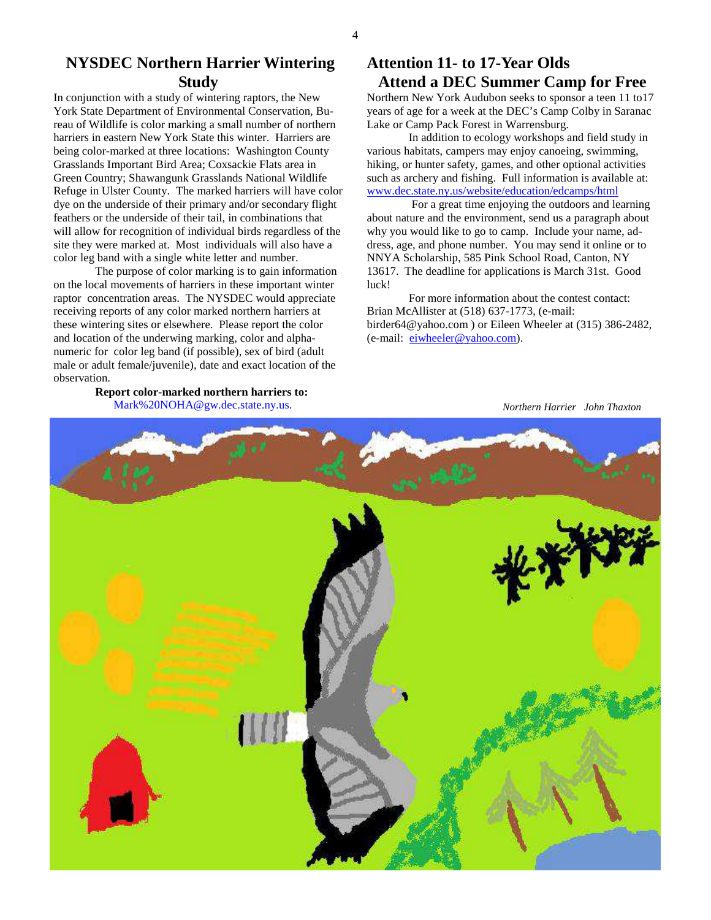### **NYSDEC Northern Harrier Wintering Study**

In conjunction with a study of wintering raptors, the New York State Department of Environmental Conservation, Bureau of Wildlife is color marking a small number of northern harriers in eastern New York State this winter. Harriers are being color-marked at three locations: Washington County Grasslands Important Bird Area; Coxsackie Flats area in Green Country; Shawangunk Grasslands National Wildlife Refuge in Ulster County. The marked harriers will have color dye on the underside of their primary and/or secondary flight feathers or the underside of their tail, in combinations that will allow for recognition of individual birds regardless of the site they were marked at. Most individuals will also have a color leg band with a single white letter and number.

 The purpose of color marking is to gain information on the local movements of harriers in these important winter raptor concentration areas. The NYSDEC would appreciate receiving reports of any color marked northern harriers at these wintering sites or elsewhere. Please report the color and location of the underwing marking, color and alphanumeric for color leg band (if possible), sex of bird (adult male or adult female/juvenile), date and exact location of the observation.

#### **Report color-marked northern harriers to:**  Mark%20NOHA@gw.dec.state.ny.us.

## **Attention 11- to 17-Year Olds Attend a DEC Summer Camp for Free**

Northern New York Audubon seeks to sponsor a teen 11 to17 years of age for a week at the DEC's Camp Colby in Saranac Lake or Camp Pack Forest in Warrensburg.

 In addition to ecology workshops and field study in various habitats, campers may enjoy canoeing, swimming, hiking, or hunter safety, games, and other optional activities such as archery and fishing. Full information is available at: www.dec.state.ny.us/website/education/edcamps/html

 For a great time enjoying the outdoors and learning about nature and the environment, send us a paragraph about why you would like to go to camp. Include your name, address, age, and phone number. You may send it online or to NNYA Scholarship, 585 Pink School Road, Canton, NY 13617. The deadline for applications is March 31st. Good luck!

 For more information about the contest contact: Brian McAllister at (518) 637-1773, (e-mail: birder64@yahoo.com ) or Eileen Wheeler at (315) 386-2482, (e-mail: eiwheeler@yahoo.com).

 *Northern Harrier John Thaxton* 

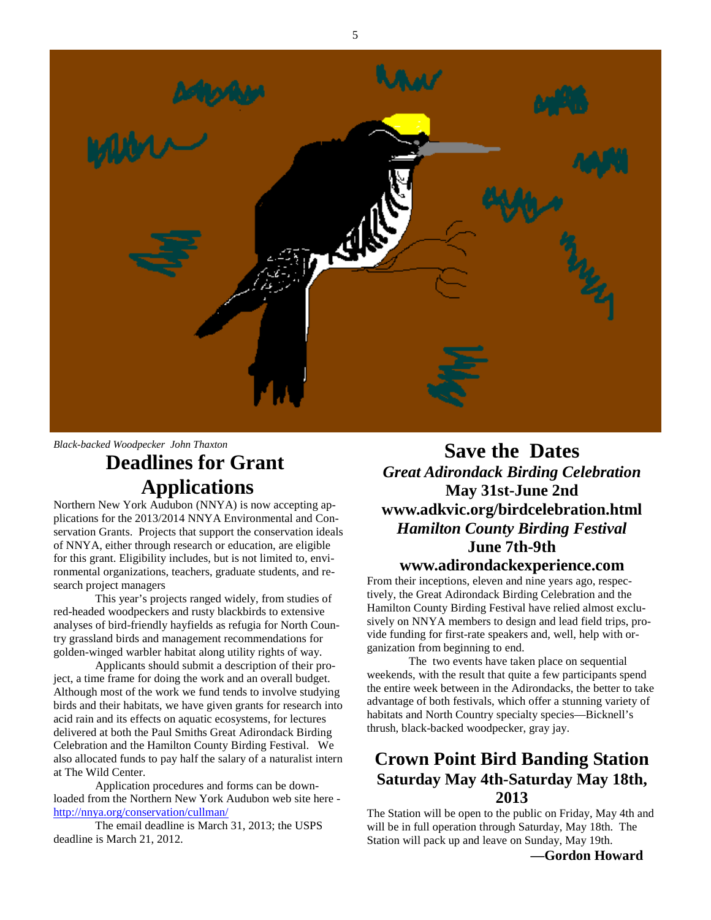

*Black-backed Woodpecker John Thaxton* 

# **Deadlines for Grant Applications**

Northern New York Audubon (NNYA) is now accepting applications for the 2013/2014 NNYA Environmental and Conservation Grants. Projects that support the conservation ideals of NNYA, either through research or education, are eligible for this grant. Eligibility includes, but is not limited to, environmental organizations, teachers, graduate students, and research project managers

 This year's projects ranged widely, from studies of red-headed woodpeckers and rusty blackbirds to extensive analyses of bird-friendly hayfields as refugia for North Country grassland birds and management recommendations for golden-winged warbler habitat along utility rights of way.

 Applicants should submit a description of their project, a time frame for doing the work and an overall budget. Although most of the work we fund tends to involve studying birds and their habitats, we have given grants for research into acid rain and its effects on aquatic ecosystems, for lectures delivered at both the Paul Smiths Great Adirondack Birding Celebration and the Hamilton County Birding Festival. We also allocated funds to pay half the salary of a naturalist intern at The Wild Center.

 Application procedures and forms can be downloaded from the Northern New York Audubon web site here http://nnya.org/conservation/cullman/

 The email deadline is March 31, 2013; the USPS deadline is March 21, 2012.

**Save the Dates**  *Great Adirondack Birding Celebration*  **May 31st-June 2nd www.adkvic.org/birdcelebration.html**  *Hamilton County Birding Festival*  **June 7th-9th www.adirondackexperience.com** 

From their inceptions, eleven and nine years ago, respectively, the Great Adirondack Birding Celebration and the Hamilton County Birding Festival have relied almost exclusively on NNYA members to design and lead field trips, provide funding for first-rate speakers and, well, help with organization from beginning to end.

 The two events have taken place on sequential weekends, with the result that quite a few participants spend the entire week between in the Adirondacks, the better to take advantage of both festivals, which offer a stunning variety of habitats and North Country specialty species—Bicknell's thrush, black-backed woodpecker, gray jay.

# **Crown Point Bird Banding Station Saturday May 4th-Saturday May 18th, 2013**

The Station will be open to the public on Friday, May 4th and will be in full operation through Saturday, May 18th. The Station will pack up and leave on Sunday, May 19th.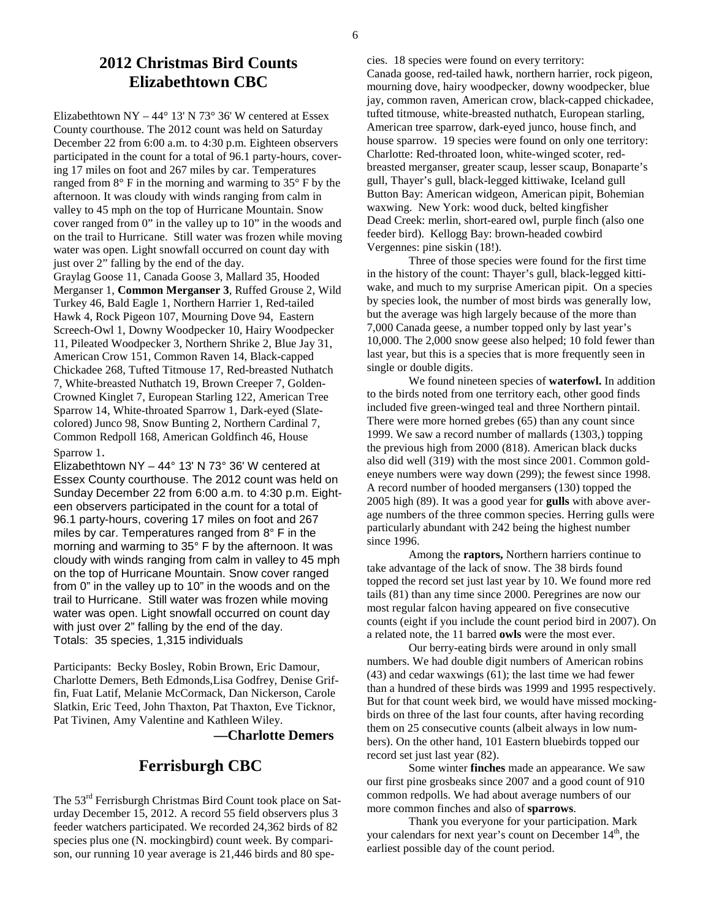Elizabethtown NY – 44 $\degree$  13' N 73 $\degree$  36' W centered at Essex County courthouse. The 2012 count was held on Saturday December 22 from 6:00 a.m. to 4:30 p.m. Eighteen observers participated in the count for a total of 96.1 party-hours, covering 17 miles on foot and 267 miles by car. Temperatures ranged from 8° F in the morning and warming to 35° F by the afternoon. It was cloudy with winds ranging from calm in valley to 45 mph on the top of Hurricane Mountain. Snow cover ranged from 0" in the valley up to 10" in the woods and on the trail to Hurricane. Still water was frozen while moving water was open. Light snowfall occurred on count day with just over 2" falling by the end of the day.

Graylag Goose 11, Canada Goose 3, Mallard 35, Hooded Merganser 1, **Common Merganser 3**, Ruffed Grouse 2, Wild Turkey 46, Bald Eagle 1, Northern Harrier 1, Red-tailed Hawk 4, Rock Pigeon 107, Mourning Dove 94, Eastern Screech-Owl 1, Downy Woodpecker 10, Hairy Woodpecker 11, Pileated Woodpecker 3, Northern Shrike 2, Blue Jay 31, American Crow 151, Common Raven 14, Black-capped Chickadee 268, Tufted Titmouse 17, Red-breasted Nuthatch 7, White-breasted Nuthatch 19, Brown Creeper 7, Golden-Crowned Kinglet 7, European Starling 122, American Tree Sparrow 14, White-throated Sparrow 1, Dark-eyed (Slatecolored) Junco 98, Snow Bunting 2, Northern Cardinal 7, Common Redpoll 168, American Goldfinch 46, House Sparrow 1.

Elizabethtown NY – 44° 13' N 73° 36' W centered at Essex County courthouse. The 2012 count was held on Sunday December 22 from 6:00 a.m. to 4:30 p.m. Eighteen observers participated in the count for a total of 96.1 party-hours, covering 17 miles on foot and 267 miles by car. Temperatures ranged from 8° F in the morning and warming to 35° F by the afternoon. It was cloudy with winds ranging from calm in valley to 45 mph on the top of Hurricane Mountain. Snow cover ranged from 0" in the valley up to 10" in the woods and on the trail to Hurricane. Still water was frozen while moving water was open. Light snowfall occurred on count day with just over 2" falling by the end of the day. Totals: 35 species, 1,315 individuals

Participants: Becky Bosley, Robin Brown, Eric Damour, Charlotte Demers, Beth Edmonds,Lisa Godfrey, Denise Griffin, Fuat Latif, Melanie McCormack, Dan Nickerson, Carole Slatkin, Eric Teed, John Thaxton, Pat Thaxton, Eve Ticknor, Pat Tivinen, Amy Valentine and Kathleen Wiley.

#### **—Charlotte Demers**

# **Ferrisburgh CBC**

The 53rd Ferrisburgh Christmas Bird Count took place on Saturday December 15, 2012. A record 55 field observers plus 3 feeder watchers participated. We recorded 24,362 birds of 82 species plus one (N. mockingbird) count week. By comparison, our running 10 year average is 21,446 birds and 80 spe-

cies. 18 species were found on every territory: Canada goose, red-tailed hawk, northern harrier, rock pigeon, mourning dove, hairy woodpecker, downy woodpecker, blue jay, common raven, American crow, black-capped chickadee, tufted titmouse, white-breasted nuthatch, European starling, American tree sparrow, dark-eyed junco, house finch, and house sparrow. 19 species were found on only one territory: Charlotte: Red-throated loon, white-winged scoter, redbreasted merganser, greater scaup, lesser scaup, Bonaparte's gull, Thayer's gull, black-legged kittiwake, Iceland gull Button Bay: American widgeon, American pipit, Bohemian waxwing. New York: wood duck, belted kingfisher Dead Creek: merlin, short-eared owl, purple finch (also one feeder bird). Kellogg Bay: brown-headed cowbird Vergennes: pine siskin (18!).

 Three of those species were found for the first time in the history of the count: Thayer's gull, black-legged kittiwake, and much to my surprise American pipit. On a species by species look, the number of most birds was generally low, but the average was high largely because of the more than 7,000 Canada geese, a number topped only by last year's 10,000. The 2,000 snow geese also helped; 10 fold fewer than last year, but this is a species that is more frequently seen in single or double digits.

 We found nineteen species of **waterfowl.** In addition to the birds noted from one territory each, other good finds included five green-winged teal and three Northern pintail. There were more horned grebes (65) than any count since 1999. We saw a record number of mallards (1303,) topping the previous high from 2000 (818). American black ducks also did well (319) with the most since 2001. Common goldeneye numbers were way down (299); the fewest since 1998. A record number of hooded mergansers (130) topped the 2005 high (89). It was a good year for **gulls** with above average numbers of the three common species. Herring gulls were particularly abundant with 242 being the highest number since 1996.

 Among the **raptors,** Northern harriers continue to take advantage of the lack of snow. The 38 birds found topped the record set just last year by 10. We found more red tails (81) than any time since 2000. Peregrines are now our most regular falcon having appeared on five consecutive counts (eight if you include the count period bird in 2007). On a related note, the 11 barred **owls** were the most ever.

 Our berry-eating birds were around in only small numbers. We had double digit numbers of American robins (43) and cedar waxwings (61); the last time we had fewer than a hundred of these birds was 1999 and 1995 respectively. But for that count week bird, we would have missed mockingbirds on three of the last four counts, after having recording them on 25 consecutive counts (albeit always in low numbers). On the other hand, 101 Eastern bluebirds topped our record set just last year (82).

 Some winter **finches** made an appearance. We saw our first pine grosbeaks since 2007 and a good count of 910 common redpolls. We had about average numbers of our more common finches and also of **sparrows**.

 Thank you everyone for your participation. Mark your calendars for next year's count on December 14<sup>th</sup>, the earliest possible day of the count period.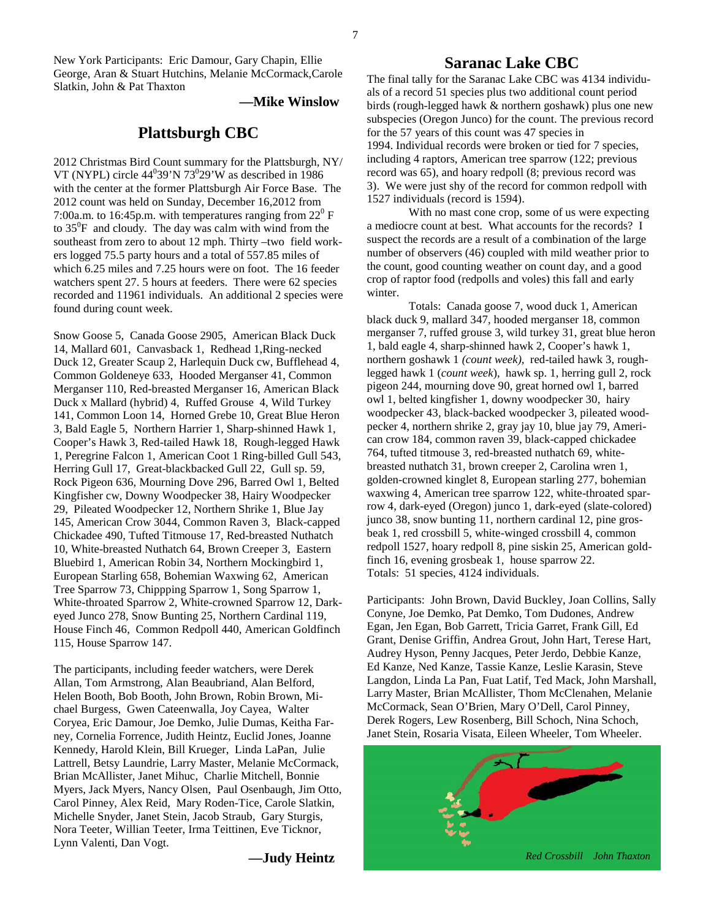New York Participants: Eric Damour, Gary Chapin, Ellie George, Aran & Stuart Hutchins, Melanie McCormack,Carole Slatkin, John & Pat Thaxton

**—Mike Winslow**

#### **Plattsburgh CBC**

2012 Christmas Bird Count summary for the Plattsburgh, NY/ VT (NYPL) circle  $44^039'N73^029'W$  as described in 1986 with the center at the former Plattsburgh Air Force Base. The 2012 count was held on Sunday, December 16,2012 from 7:00a.m. to 16:45p.m. with temperatures ranging from  $22^{\circ}$  F to  $35^{\circ}$ F and cloudy. The day was calm with wind from the southeast from zero to about 12 mph. Thirty –two field workers logged 75.5 party hours and a total of 557.85 miles of which 6.25 miles and 7.25 hours were on foot. The 16 feeder watchers spent 27. 5 hours at feeders. There were 62 species recorded and 11961 individuals. An additional 2 species were found during count week.

Snow Goose 5, Canada Goose 2905, American Black Duck 14, Mallard 601, Canvasback 1, Redhead 1,Ring-necked Duck 12, Greater Scaup 2, Harlequin Duck cw, Bufflehead 4, Common Goldeneye 633, Hooded Merganser 41, Common Merganser 110, Red-breasted Merganser 16, American Black Duck x Mallard (hybrid) 4, Ruffed Grouse 4, Wild Turkey 141, Common Loon 14, Horned Grebe 10, Great Blue Heron 3, Bald Eagle 5, Northern Harrier 1, Sharp-shinned Hawk 1, Cooper's Hawk 3, Red-tailed Hawk 18, Rough-legged Hawk 1, Peregrine Falcon 1, American Coot 1 Ring-billed Gull 543, Herring Gull 17, Great-blackbacked Gull 22, Gull sp. 59, Rock Pigeon 636, Mourning Dove 296, Barred Owl 1, Belted Kingfisher cw, Downy Woodpecker 38, Hairy Woodpecker 29, Pileated Woodpecker 12, Northern Shrike 1, Blue Jay 145, American Crow 3044, Common Raven 3, Black-capped Chickadee 490, Tufted Titmouse 17, Red-breasted Nuthatch 10, White-breasted Nuthatch 64, Brown Creeper 3, Eastern Bluebird 1, American Robin 34, Northern Mockingbird 1, European Starling 658, Bohemian Waxwing 62, American Tree Sparrow 73, Chippping Sparrow 1, Song Sparrow 1, White-throated Sparrow 2, White-crowned Sparrow 12, Darkeyed Junco 278, Snow Bunting 25, Northern Cardinal 119, House Finch 46, Common Redpoll 440, American Goldfinch 115, House Sparrow 147.

The participants, including feeder watchers, were Derek Allan, Tom Armstrong, Alan Beaubriand, Alan Belford, Helen Booth, Bob Booth, John Brown, Robin Brown, Michael Burgess, Gwen Cateenwalla, Joy Cayea, Walter Coryea, Eric Damour, Joe Demko, Julie Dumas, Keitha Farney, Cornelia Forrence, Judith Heintz, Euclid Jones, Joanne Kennedy, Harold Klein, Bill Krueger, Linda LaPan, Julie Lattrell, Betsy Laundrie, Larry Master, Melanie McCormack, Brian McAllister, Janet Mihuc, Charlie Mitchell, Bonnie Myers, Jack Myers, Nancy Olsen, Paul Osenbaugh, Jim Otto, Carol Pinney, Alex Reid, Mary Roden-Tice, Carole Slatkin, Michelle Snyder, Janet Stein, Jacob Straub, Gary Sturgis, Nora Teeter, Willian Teeter, Irma Teittinen, Eve Ticknor, Lynn Valenti, Dan Vogt.

**—Judy Heintz** 

#### **Saranac Lake CBC**

The final tally for the Saranac Lake CBC was 4134 individuals of a record 51 species plus two additional count period birds (rough-legged hawk & northern goshawk) plus one new subspecies (Oregon Junco) for the count. The previous record for the 57 years of this count was 47 species in 1994. Individual records were broken or tied for 7 species, including 4 raptors, American tree sparrow (122; previous record was 65), and hoary redpoll (8; previous record was 3). We were just shy of the record for common redpoll with 1527 individuals (record is 1594).

 With no mast cone crop, some of us were expecting a mediocre count at best. What accounts for the records? I suspect the records are a result of a combination of the large number of observers (46) coupled with mild weather prior to the count, good counting weather on count day, and a good crop of raptor food (redpolls and voles) this fall and early winter.

 Totals: Canada goose 7, wood duck 1, American black duck 9, mallard 347, hooded merganser 18, common merganser 7, ruffed grouse 3, wild turkey 31, great blue heron 1, bald eagle 4, sharp-shinned hawk 2, Cooper's hawk 1, northern goshawk 1 *(count week),* red-tailed hawk 3, roughlegged hawk 1 (*count week*), hawk sp. 1, herring gull 2, rock pigeon 244, mourning dove 90, great horned owl 1, barred owl 1, belted kingfisher 1, downy woodpecker 30, hairy woodpecker 43, black-backed woodpecker 3, pileated woodpecker 4, northern shrike 2, gray jay 10, blue jay 79, American crow 184, common raven 39, black-capped chickadee 764, tufted titmouse 3, red-breasted nuthatch 69, whitebreasted nuthatch 31, brown creeper 2, Carolina wren 1, golden-crowned kinglet 8, European starling 277, bohemian waxwing 4, American tree sparrow 122, white-throated sparrow 4, dark-eyed (Oregon) junco 1, dark-eyed (slate-colored) junco 38, snow bunting 11, northern cardinal 12, pine grosbeak 1, red crossbill 5, white-winged crossbill 4, common redpoll 1527, hoary redpoll 8, pine siskin 25, American goldfinch 16, evening grosbeak 1, house sparrow 22. Totals: 51 species, 4124 individuals.

Participants: John Brown, David Buckley, Joan Collins, Sally Conyne, Joe Demko, Pat Demko, Tom Dudones, Andrew Egan, Jen Egan, Bob Garrett, Tricia Garret, Frank Gill, Ed Grant, Denise Griffin, Andrea Grout, John Hart, Terese Hart, Audrey Hyson, Penny Jacques, Peter Jerdo, Debbie Kanze, Ed Kanze, Ned Kanze, Tassie Kanze, Leslie Karasin, Steve Langdon, Linda La Pan, Fuat Latif, Ted Mack, John Marshall, Larry Master, Brian McAllister, Thom McClenahen, Melanie McCormack, Sean O'Brien, Mary O'Dell, Carol Pinney, Derek Rogers, Lew Rosenberg, Bill Schoch, Nina Schoch, Janet Stein, Rosaria Visata, Eileen Wheeler, Tom Wheeler.